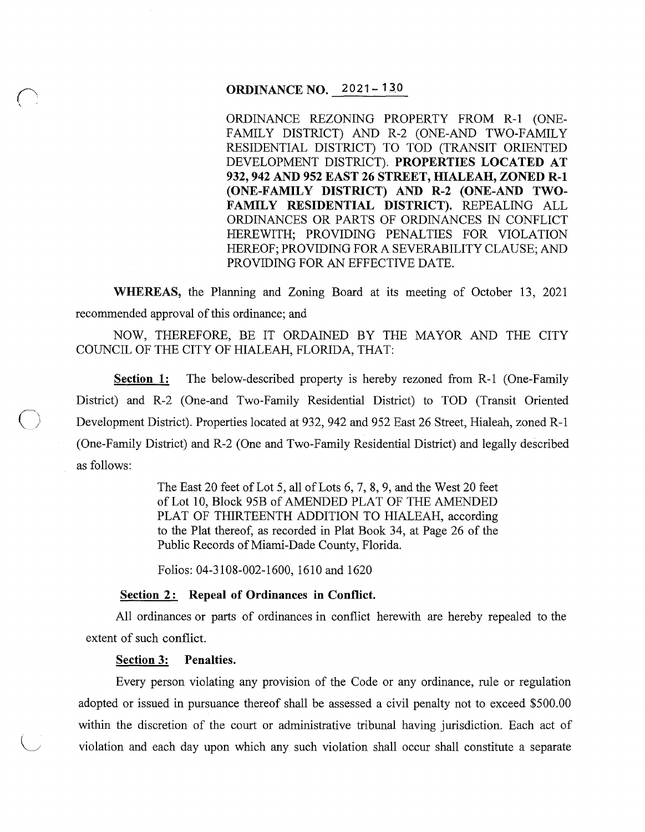# **ORDINANCE NO.** 2021- **13.0**

ORDINANCE REZONING PROPERTY FROM R-1 (ONE-FAMILY DISTRICT) AND R-2 (ONE-AND TWO-FAMILY RESIDENTIAL DISTRICT) TO TOD (TRANSIT ORIENTED DEVELOPMENT DISTRICT). **PROPERTIES LOCATED AT 932, 942 AND 952 EAST 26 STREET, HIALEAH, ZONED R-1 (ONE-FAMILY DISTRICT) AND R-2 (ONE-AND TWO-FAMILY RESIDENTIAL DISTRICT).** REPEALING ALL ORDINANCES OR PARTS OF ORDINANCES IN CONFLICT HEREWITH; PROVIDING PENALTIES FOR VIOLATION HEREOF; PROVIDING FORA SEVERABILITY CLAUSE; AND PROVIDING FOR AN EFFECTIVE DATE.

**WHEREAS,** the Planning and Zoning Board at its meeting of October 13, 2021 recommended approval of this ordinance; and

NOW, THEREFORE, BE IT ORDAINED BY THE MAYOR AND THE CITY COUNCIL OF THE CITY OF HIALEAH, FLORIDA, THAT:

**Section 1:** The below-described property is hereby rezoned from R-1 (One-Family District) and R-2 (One-and Two-Family Residential District) to TOD (Transit Oriented Development District). Properties located at 932, 942 and 952 East 26 Street, Hialeah, zoned R-1 (One-Family District) and R-2 (One and Two-Family Residential District) and legally described as follows:

> The East 20 feet of Lot 5, all of Lots 6, 7, 8, 9, and the West 20 feet of Lot 10, Block 95B of AMENDED PLAT OF THE AMENDED PLAT OF THIRTEENTH ADDITION TO HIALEAH, according to the Plat thereof, as recorded in Plat Book 34, at Page 26 of the Public Records of Miami-Dade County, Florida.

Folios: 04-3108-002-1600, 1610 and 1620

### Section 2: Repeal of Ordinances in Conflict.

All ordinances or parts of ordinances in conflict herewith are hereby repealed to the extent of such conflict.

#### **Section 3: Penalties.**

Every person violating any provision of the Code or any ordinance, rule or regulation adopted or issued in pursuance thereof shall be assessed a civil penalty not to exceed \$500.00 within the discretion of the court or administrative tribunal having jurisdiction. Each act of violation and each day upon which any such violation shall occur shall constitute a separate